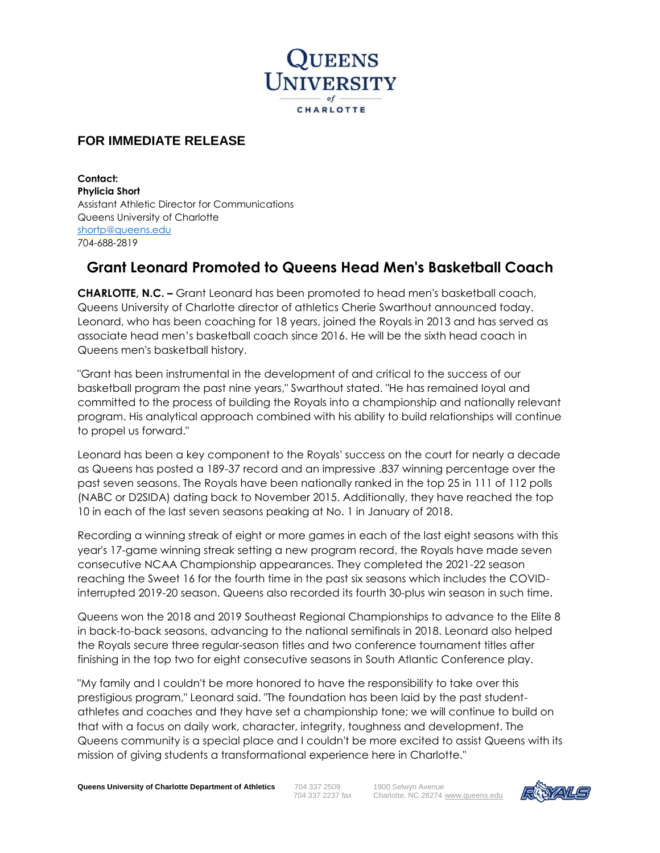

## **FOR IMMEDIATE RELEASE**

**Contact: Phylicia Short** Assistant Athletic Director for Communications Queens University of Charlotte [shortp@queens.edu](mailto:shortp@queens.edu)  704-688-2819

## **Grant Leonard Promoted to Queens Head Men's Basketball Coach**

**CHARLOTTE, N.C. –** Grant Leonard has been promoted to head men's basketball coach, Queens University of Charlotte director of athletics Cherie Swarthout announced today. Leonard, who has been coaching for 18 years, joined the Royals in 2013 and has served as associate head men's basketball coach since 2016. He will be the sixth head coach in Queens men's basketball history.

"Grant has been instrumental in the development of and critical to the success of our basketball program the past nine years," Swarthout stated. "He has remained loyal and committed to the process of building the Royals into a championship and nationally relevant program. His analytical approach combined with his ability to build relationships will continue to propel us forward."

Leonard has been a key component to the Royals' success on the court for nearly a decade as Queens has posted a 189-37 record and an impressive .837 winning percentage over the past seven seasons. The Royals have been nationally ranked in the top 25 in 111 of 112 polls (NABC or D2SIDA) dating back to November 2015. Additionally, they have reached the top 10 in each of the last seven seasons peaking at No. 1 in January of 2018.

Recording a winning streak of eight or more games in each of the last eight seasons with this year's 17-game winning streak setting a new program record, the Royals have made seven consecutive NCAA Championship appearances. They completed the 2021-22 season reaching the Sweet 16 for the fourth time in the past six seasons which includes the COVIDinterrupted 2019-20 season. Queens also recorded its fourth 30-plus win season in such time.

Queens won the 2018 and 2019 Southeast Regional Championships to advance to the Elite 8 in back-to-back seasons, advancing to the national semifinals in 2018. Leonard also helped the Royals secure three regular-season titles and two conference tournament titles after finishing in the top two for eight consecutive seasons in South Atlantic Conference play.

"My family and I couldn't be more honored to have the responsibility to take over this prestigious program," Leonard said. "The foundation has been laid by the past studentathletes and coaches and they have set a championship tone; we will continue to build on that with a focus on daily work, character, integrity, toughness and development. The Queens community is a special place and I couldn't be more excited to assist Queens with its mission of giving students a transformational experience here in Charlotte."

**Queens University of Charlotte Department of Athletics** 704 337 2509 1900 Selwyn Avenue<br>704 337 2237 fax Charlotte, NC 28274

Charlotte, NC 28274 [www.queens.edu](http://www.queens.edu/)

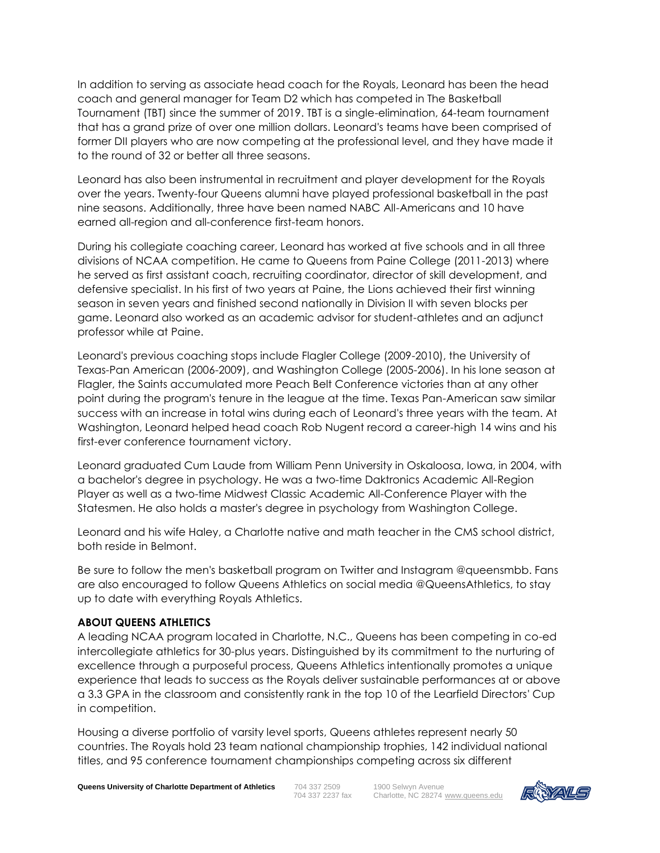In addition to serving as associate head coach for the Royals, Leonard has been the head coach and general manager for Team D2 which has competed in The Basketball Tournament (TBT) since the summer of 2019. TBT is a single-elimination, 64-team tournament that has a grand prize of over one million dollars. Leonard's teams have been comprised of former DII players who are now competing at the professional level, and they have made it to the round of 32 or better all three seasons.

Leonard has also been instrumental in recruitment and player development for the Royals over the years. Twenty-four Queens alumni have played professional basketball in the past nine seasons. Additionally, three have been named NABC All-Americans and 10 have earned all-region and all-conference first-team honors.

During his collegiate coaching career, Leonard has worked at five schools and in all three divisions of NCAA competition. He came to Queens from Paine College (2011-2013) where he served as first assistant coach, recruiting coordinator, director of skill development, and defensive specialist. In his first of two years at Paine, the Lions achieved their first winning season in seven years and finished second nationally in Division II with seven blocks per game. Leonard also worked as an academic advisor for student-athletes and an adjunct professor while at Paine.

Leonard's previous coaching stops include Flagler College (2009-2010), the University of Texas-Pan American (2006-2009), and Washington College (2005-2006). In his lone season at Flagler, the Saints accumulated more Peach Belt Conference victories than at any other point during the program's tenure in the league at the time. Texas Pan-American saw similar success with an increase in total wins during each of Leonard's three years with the team. At Washington, Leonard helped head coach Rob Nugent record a career-high 14 wins and his first-ever conference tournament victory.

Leonard graduated Cum Laude from William Penn University in Oskaloosa, Iowa, in 2004, with a bachelor's degree in psychology. He was a two-time Daktronics Academic All-Region Player as well as a two-time Midwest Classic Academic All-Conference Player with the Statesmen. He also holds a master's degree in psychology from Washington College.

Leonard and his wife Haley, a Charlotte native and math teacher in the CMS school district, both reside in Belmont.

Be sure to follow the men's basketball program on Twitter and Instagram @queensmbb. Fans are also encouraged to follow Queens Athletics on social media @QueensAthletics, to stay up to date with everything Royals Athletics.

## **ABOUT QUEENS ATHLETICS**

A leading NCAA program located in Charlotte, N.C., Queens has been competing in co-ed intercollegiate athletics for 30-plus years. Distinguished by its commitment to the nurturing of excellence through a purposeful process, Queens Athletics intentionally promotes a unique experience that leads to success as the Royals deliver sustainable performances at or above a 3.3 GPA in the classroom and consistently rank in the top 10 of the Learfield Directors' Cup in competition.

Housing a diverse portfolio of varsity level sports, Queens athletes represent nearly 50 countries. The Royals hold 23 team national championship trophies, 142 individual national titles, and 95 conference tournament championships competing across six different

**Queens University of Charlotte Department of Athletics** 704 337 2509 1900 Selwyn Avenue<br>704 337 2237 fax Charlotte, NC 28274

Charlotte, NC 28274 [www.queens.edu](http://www.queens.edu/)